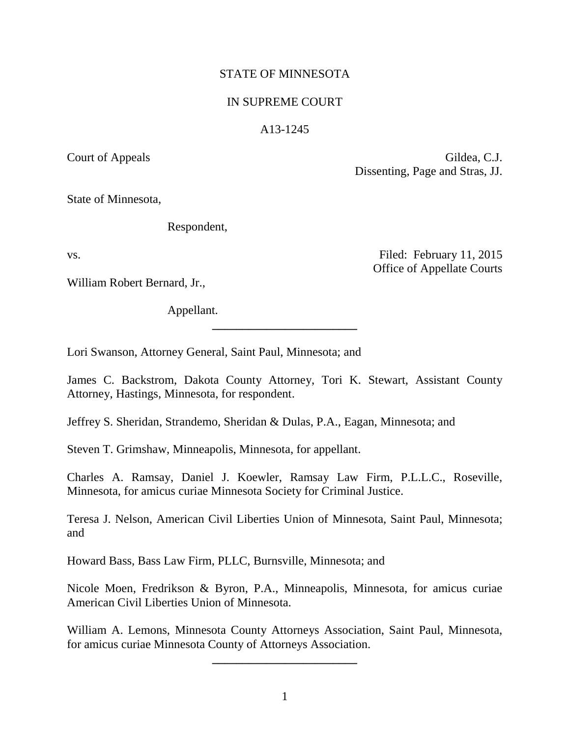# STATE OF MINNESOTA

# IN SUPREME COURT

## A13-1245

Court of Appeals Gildea, C.J. Dissenting, Page and Stras, JJ.

Office of Appellate Courts

State of Minnesota,

Respondent,

vs. Tiled: February 11, 2015

William Robert Bernard, Jr.,

Appellant.

Lori Swanson, Attorney General, Saint Paul, Minnesota; and

James C. Backstrom, Dakota County Attorney, Tori K. Stewart, Assistant County Attorney, Hastings, Minnesota, for respondent.

**\_\_\_\_\_\_\_\_\_\_\_\_\_\_\_\_\_\_\_\_\_\_\_\_**

Jeffrey S. Sheridan, Strandemo, Sheridan & Dulas, P.A., Eagan, Minnesota; and

Steven T. Grimshaw, Minneapolis, Minnesota, for appellant.

Charles A. Ramsay, Daniel J. Koewler, Ramsay Law Firm, P.L.L.C., Roseville, Minnesota, for amicus curiae Minnesota Society for Criminal Justice.

Teresa J. Nelson, American Civil Liberties Union of Minnesota, Saint Paul, Minnesota; and

Howard Bass, Bass Law Firm, PLLC, Burnsville, Minnesota; and

Nicole Moen, Fredrikson & Byron, P.A., Minneapolis, Minnesota, for amicus curiae American Civil Liberties Union of Minnesota.

William A. Lemons, Minnesota County Attorneys Association, Saint Paul, Minnesota, for amicus curiae Minnesota County of Attorneys Association.

**\_\_\_\_\_\_\_\_\_\_\_\_\_\_\_\_\_\_\_\_\_\_\_\_**

1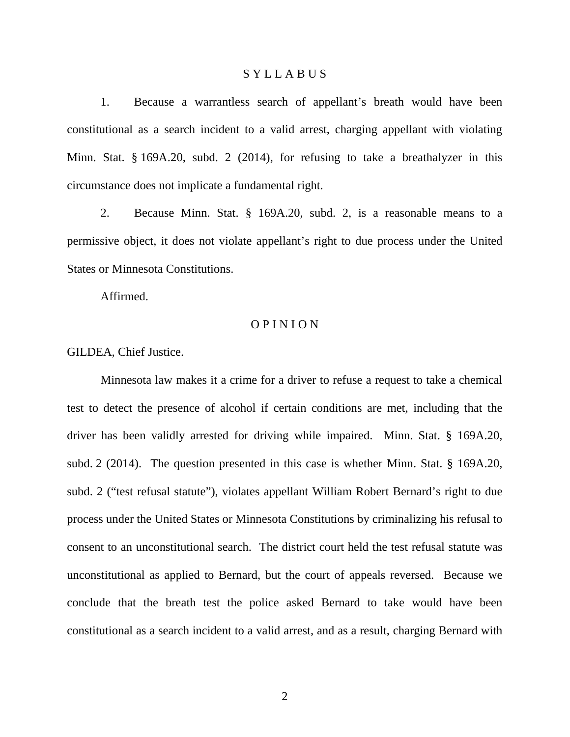## S Y L L A B U S

1. Because a warrantless search of appellant's breath would have been constitutional as a search incident to a valid arrest, charging appellant with violating Minn. Stat. § 169A.20, subd. 2 (2014), for refusing to take a breathalyzer in this circumstance does not implicate a fundamental right.

2. Because Minn. Stat. § 169A.20, subd. 2, is a reasonable means to a permissive object, it does not violate appellant's right to due process under the United States or Minnesota Constitutions.

Affirmed.

## O P I N I O N

GILDEA, Chief Justice.

Minnesota law makes it a crime for a driver to refuse a request to take a chemical test to detect the presence of alcohol if certain conditions are met, including that the driver has been validly arrested for driving while impaired. Minn. Stat. § 169A.20, subd. 2 (2014). The question presented in this case is whether Minn. Stat. § 169A.20, subd. 2 ("test refusal statute"), violates appellant William Robert Bernard's right to due process under the United States or Minnesota Constitutions by criminalizing his refusal to consent to an unconstitutional search. The district court held the test refusal statute was unconstitutional as applied to Bernard, but the court of appeals reversed. Because we conclude that the breath test the police asked Bernard to take would have been constitutional as a search incident to a valid arrest, and as a result, charging Bernard with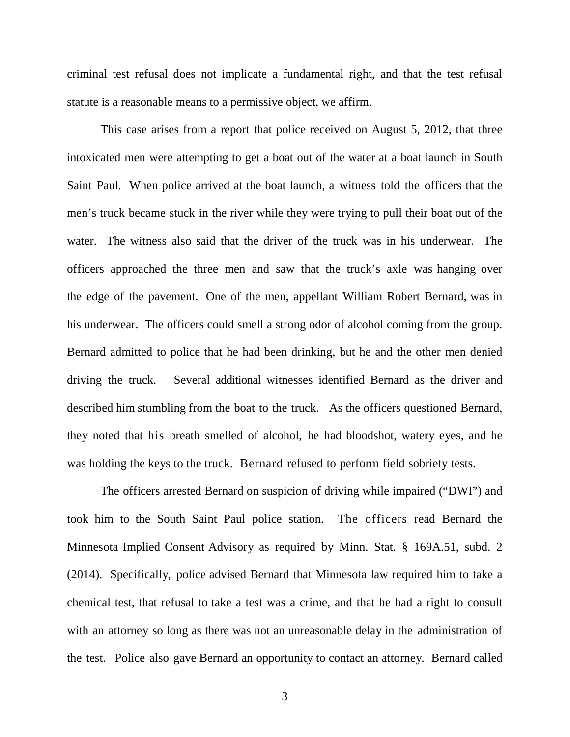criminal test refusal does not implicate a fundamental right, and that the test refusal statute is a reasonable means to a permissive object, we affirm.

This case arises from a report that police received on August 5, 2012, that three intoxicated men were attempting to get a boat out of the water at a boat launch in South Saint Paul. When police arrived at the boat launch, a witness told the officers that the men's truck became stuck in the river while they were trying to pull their boat out of the water. The witness also said that the driver of the truck was in his underwear. The officers approached the three men and saw that the truck's axle was hanging over the edge of the pavement. One of the men, appellant William Robert Bernard, was in his underwear. The officers could smell a strong odor of alcohol coming from the group. Bernard admitted to police that he had been drinking, but he and the other men denied driving the truck. Several additional witnesses identified Bernard as the driver and described him stumbling from the boat to the truck. As the officers questioned Bernard, they noted that his breath smelled of alcohol, he had bloodshot, watery eyes, and he was holding the keys to the truck.Bernard refused to perform field sobriety tests.

The officers arrested Bernard on suspicion of driving while impaired ("DWI") and took him to the South Saint Paul police station. The officers read Bernard the Minnesota Implied Consent Advisory as required by Minn. Stat. § 169A.51, subd. 2 (2014). Specifically, police advised Bernard that Minnesota law required him to take a chemical test, that refusal to take a test was a crime, and that he had a right to consult with an attorney so long as there was not an unreasonable delay in the administration of the test. Police also gave Bernard an opportunity to contact an attorney. Bernard called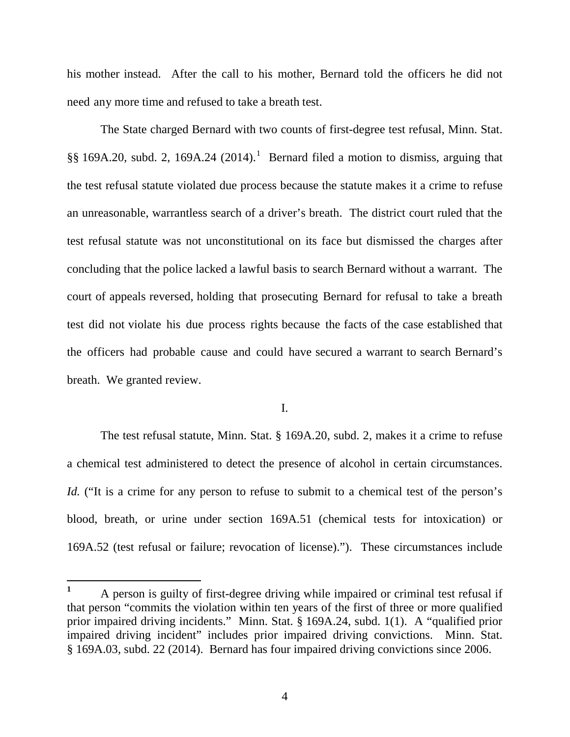his mother instead. After the call to his mother, Bernard told the officers he did not need any more time and refused to take a breath test.

The State charged Bernard with two counts of first-degree test refusal, Minn. Stat.  $\S$ § [1](#page-3-0)69A.20, subd. 2, 169A.24 (2014).<sup>1</sup> Bernard filed a motion to dismiss, arguing that the test refusal statute violated due process because the statute makes it a crime to refuse an unreasonable, warrantless search of a driver's breath. The district court ruled that the test refusal statute was not unconstitutional on its face but dismissed the charges after concluding that the police lacked a lawful basis to search Bernard without a warrant. The court of appeals reversed, holding that prosecuting Bernard for refusal to take a breath test did not violate his due process rights because the facts of the case established that the officers had probable cause and could have secured a warrant to search Bernard's breath. We granted review.

## I.

The test refusal statute, Minn. Stat. § 169A.20, subd. 2, makes it a crime to refuse a chemical test administered to detect the presence of alcohol in certain circumstances. *Id.* ("It is a crime for any person to refuse to submit to a chemical test of the person's blood, breath, or urine under section 169A.51 (chemical tests for intoxication) or 169A.52 (test refusal or failure; revocation of license)."). These circumstances include

<span id="page-3-0"></span><sup>&</sup>lt;sup>1</sup> A person is guilty of first-degree driving while impaired or criminal test refusal if that person "commits the violation within ten years of the first of three or more qualified prior impaired driving incidents." Minn. Stat. § 169A.24, subd. 1(1). A "qualified prior impaired driving incident" includes prior impaired driving convictions. Minn. Stat. § 169A.03, subd. 22 (2014). Bernard has four impaired driving convictions since 2006.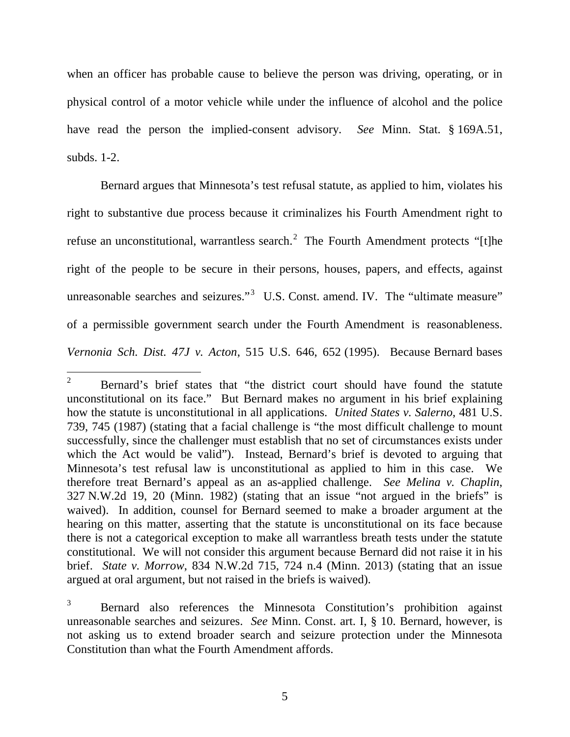when an officer has probable cause to believe the person was driving, operating, or in physical control of a motor vehicle while under the influence of alcohol and the police have read the person the implied-consent advisory. *See* Minn. Stat. § 169A.51, subds. 1-2.

Bernard argues that Minnesota's test refusal statute, as applied to him, violates his right to substantive due process because it criminalizes his Fourth Amendment right to refuse an unconstitutional, warrantless search.<sup>[2](#page-4-0)</sup> The Fourth Amendment protects "[t]he right of the people to be secure in their persons, houses, papers, and effects, against unreasonable searches and seizures."<sup>[3](#page-4-1)</sup> U.S. Const. amend. IV. The "ultimate measure" of a permissible government search under the Fourth Amendment is reasonableness. *Vernonia Sch. Dist. 47J v. Acton*, 515 U.S. 646, 652 (1995). Because Bernard bases

<span id="page-4-0"></span><sup>&</sup>lt;sup>2</sup> Bernard's brief states that "the district court should have found the statute unconstitutional on its face." But Bernard makes no argument in his brief explaining how the statute is unconstitutional in all applications. *United States v. Salerno*, 481 U.S. 739, 745 (1987) (stating that a facial challenge is "the most difficult challenge to mount successfully, since the challenger must establish that no set of circumstances exists under which the Act would be valid"). Instead, Bernard's brief is devoted to arguing that Minnesota's test refusal law is unconstitutional as applied to him in this case. We therefore treat Bernard's appeal as an as-applied challenge. *See Melina v. Chaplin*, 327 N.W.2d 19, 20 (Minn. 1982) (stating that an issue "not argued in the briefs" is waived). In addition, counsel for Bernard seemed to make a broader argument at the hearing on this matter, asserting that the statute is unconstitutional on its face because there is not a categorical exception to make all warrantless breath tests under the statute constitutional. We will not consider this argument because Bernard did not raise it in his brief. *State v. Morrow*, 834 N.W.2d 715, 724 n.4 (Minn. 2013) (stating that an issue argued at oral argument, but not raised in the briefs is waived).

<span id="page-4-1"></span><sup>3</sup> Bernard also references the Minnesota Constitution's prohibition against unreasonable searches and seizures. *See* Minn. Const. art. I, § 10. Bernard, however, is not asking us to extend broader search and seizure protection under the Minnesota Constitution than what the Fourth Amendment affords.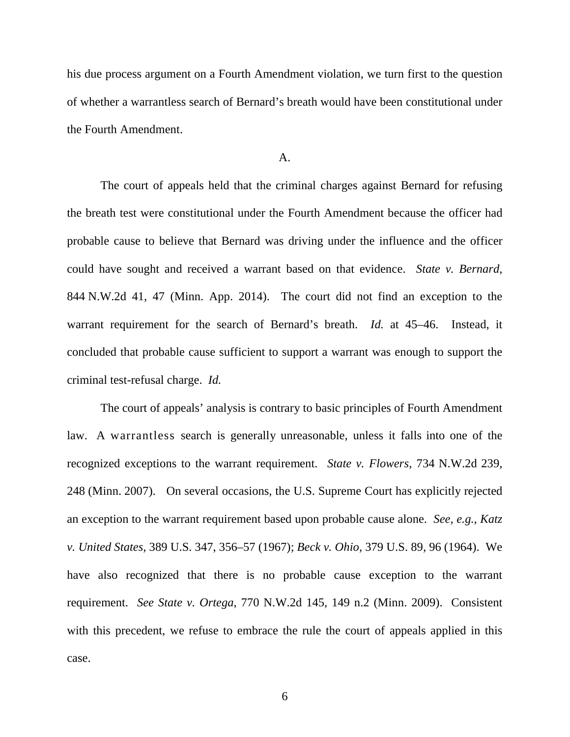his due process argument on a Fourth Amendment violation, we turn first to the question of whether a warrantless search of Bernard's breath would have been constitutional under the Fourth Amendment.

#### A.

The court of appeals held that the criminal charges against Bernard for refusing the breath test were constitutional under the Fourth Amendment because the officer had probable cause to believe that Bernard was driving under the influence and the officer could have sought and received a warrant based on that evidence. *State v. Bernard*, 844 N.W.2d 41, 47 (Minn. App. 2014). The court did not find an exception to the warrant requirement for the search of Bernard's breath. *Id.* at 45–46. Instead, it concluded that probable cause sufficient to support a warrant was enough to support the criminal test-refusal charge. *Id.*

The court of appeals' analysis is contrary to basic principles of Fourth Amendment law. A warrantless search is generally unreasonable, unless it falls into one of the recognized exceptions to the warrant requirement. *State v. Flowers*, 734 N.W.2d 239, 248 (Minn. 2007). On several occasions, the U.S. Supreme Court has explicitly rejected an exception to the warrant requirement based upon probable cause alone. *See, e.g.*, *Katz v. United States*, 389 U.S. 347, 356–57 (1967); *Beck v. Ohio*, 379 U.S. 89, 96 (1964). We have also recognized that there is no probable cause exception to the warrant requirement. *See State v. Ortega*, 770 N.W.2d 145, 149 n.2 (Minn. 2009). Consistent with this precedent, we refuse to embrace the rule the court of appeals applied in this case.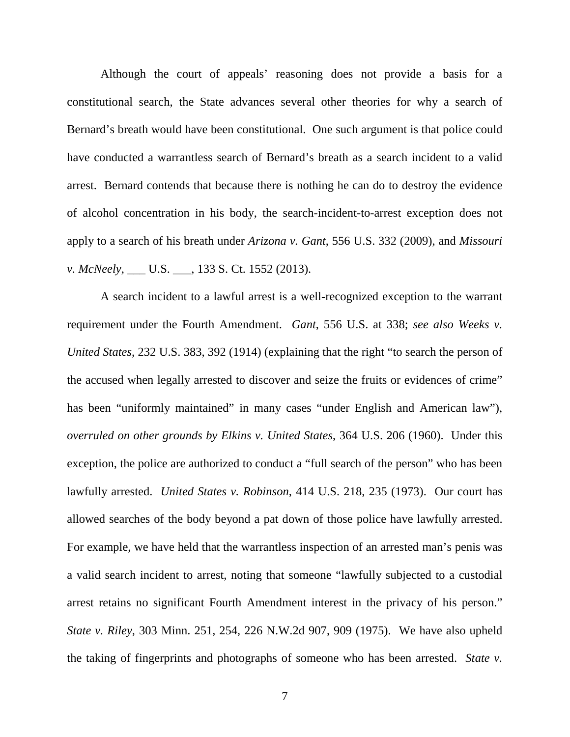Although the court of appeals' reasoning does not provide a basis for a constitutional search, the State advances several other theories for why a search of Bernard's breath would have been constitutional. One such argument is that police could have conducted a warrantless search of Bernard's breath as a search incident to a valid arrest. Bernard contends that because there is nothing he can do to destroy the evidence of alcohol concentration in his body, the search-incident-to-arrest exception does not apply to a search of his breath under *Arizona v. Gant*, 556 U.S. 332 (2009), and *Missouri v. McNeely*, \_\_\_ U.S. \_\_\_, 133 S. Ct. 1552 (2013).

A search incident to a lawful arrest is a well-recognized exception to the warrant requirement under the Fourth Amendment. *Gant*, 556 U.S. at 338; *see also Weeks v. United States*, 232 U.S. 383, 392 (1914) (explaining that the right "to search the person of the accused when legally arrested to discover and seize the fruits or evidences of crime" has been "uniformly maintained" in many cases "under English and American law"), *overruled on other grounds by Elkins v. United States*, 364 U.S. 206 (1960). Under this exception, the police are authorized to conduct a "full search of the person" who has been lawfully arrested. *United States v. Robinson*, 414 U.S. 218, 235 (1973). Our court has allowed searches of the body beyond a pat down of those police have lawfully arrested. For example, we have held that the warrantless inspection of an arrested man's penis was a valid search incident to arrest, noting that someone "lawfully subjected to a custodial arrest retains no significant Fourth Amendment interest in the privacy of his person." *State v. Riley*, 303 Minn. 251, 254, 226 N.W.2d 907, 909 (1975). We have also upheld the taking of fingerprints and photographs of someone who has been arrested. *State v.*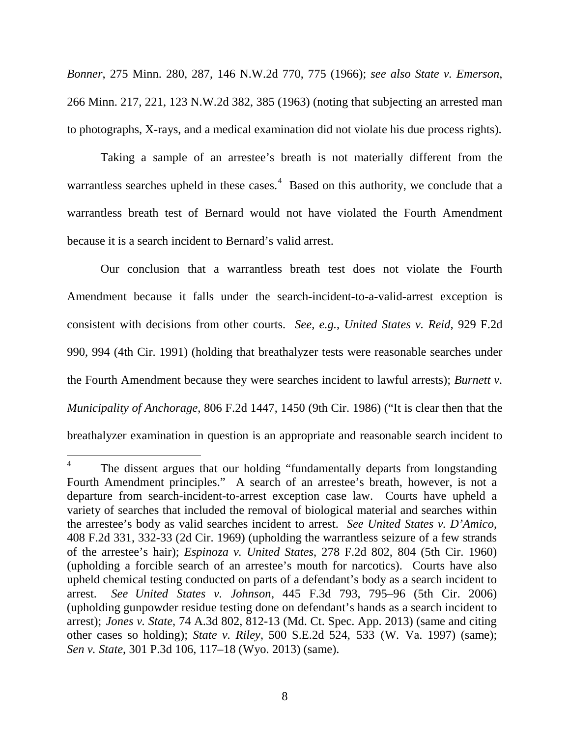*Bonner*, 275 Minn. 280, 287, 146 N.W.2d 770, 775 (1966); *see also State v. Emerson*, 266 Minn. 217, 221, 123 N.W.2d 382, 385 (1963) (noting that subjecting an arrested man to photographs, X-rays, and a medical examination did not violate his due process rights).

Taking a sample of an arrestee's breath is not materially different from the warrantless searches upheld in these cases.<sup>[4](#page-7-0)</sup> Based on this authority, we conclude that a warrantless breath test of Bernard would not have violated the Fourth Amendment because it is a search incident to Bernard's valid arrest.

Our conclusion that a warrantless breath test does not violate the Fourth Amendment because it falls under the search-incident-to-a-valid-arrest exception is consistent with decisions from other courts. *See, e.g.*, *United States v. Reid*, 929 F.2d 990, 994 (4th Cir. 1991) (holding that breathalyzer tests were reasonable searches under the Fourth Amendment because they were searches incident to lawful arrests); *Burnett v. Municipality of Anchorage*, 806 F.2d 1447, 1450 (9th Cir. 1986) ("It is clear then that the breathalyzer examination in question is an appropriate and reasonable search incident to

<span id="page-7-0"></span>The dissent argues that our holding "fundamentally departs from longstanding Fourth Amendment principles." A search of an arrestee's breath, however, is not a departure from search-incident-to-arrest exception case law. Courts have upheld a variety of searches that included the removal of biological material and searches within the arrestee's body as valid searches incident to arrest. *See United States v. D'Amico*, 408 F.2d 331, 332-33 (2d Cir. 1969) (upholding the warrantless seizure of a few strands of the arrestee's hair); *Espinoza v. United States*, 278 F.2d 802, 804 (5th Cir. 1960) (upholding a forcible search of an arrestee's mouth for narcotics). Courts have also upheld chemical testing conducted on parts of a defendant's body as a search incident to arrest. *See United States v. Johnson*, 445 F.3d 793, 795–96 (5th Cir. 2006) (upholding gunpowder residue testing done on defendant's hands as a search incident to arrest); *Jones v. State*, 74 A.3d 802, 812-13 (Md. Ct. Spec. App. 2013) (same and citing other cases so holding); *State v. Riley*, 500 S.E.2d 524, 533 (W. Va. 1997) (same); *Sen v. State*, 301 P.3d 106, 117–18 (Wyo. 2013) (same).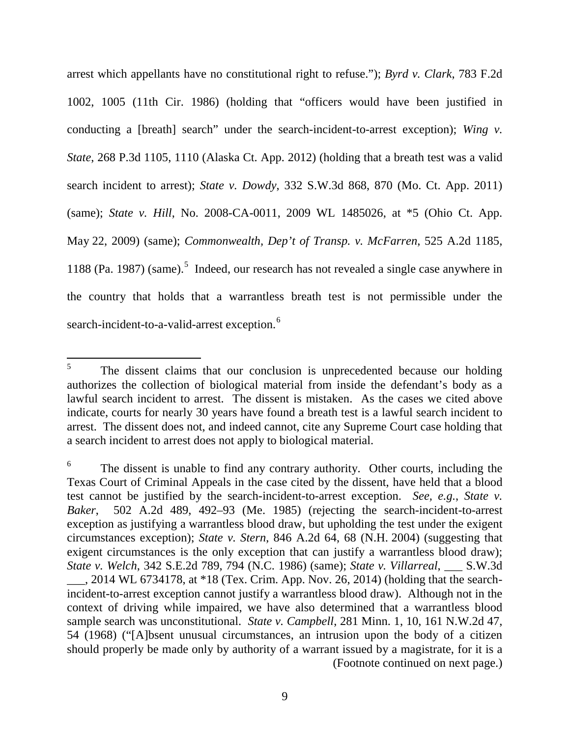arrest which appellants have no constitutional right to refuse."); *Byrd v. Clark*, 783 F.2d 1002, 1005 (11th Cir. 1986) (holding that "officers would have been justified in conducting a [breath] search" under the search-incident-to-arrest exception); *Wing v. State*, 268 P.3d 1105, 1110 (Alaska Ct. App. 2012) (holding that a breath test was a valid search incident to arrest); *State v. Dowdy*, 332 S.W.3d 868, 870 (Mo. Ct. App. 2011) (same); *State v. Hill*, No. 2008-CA-0011, 2009 WL 1485026, at \*5 (Ohio Ct. App. May 22, 2009) (same); *Commonwealth, Dep't of Transp. v. McFarren*, 525 A.2d 1185, 1188 (Pa. 1987) (same).<sup>[5](#page-8-0)</sup> Indeed, our research has not revealed a single case anywhere in the country that holds that a warrantless breath test is not permissible under the search-incident-to-a-valid-arrest exception.<sup>[6](#page-8-1)</sup>

<span id="page-8-0"></span><sup>&</sup>lt;sup>5</sup> The dissent claims that our conclusion is unprecedented because our holding authorizes the collection of biological material from inside the defendant's body as a lawful search incident to arrest. The dissent is mistaken. As the cases we cited above indicate, courts for nearly 30 years have found a breath test is a lawful search incident to arrest. The dissent does not, and indeed cannot, cite any Supreme Court case holding that a search incident to arrest does not apply to biological material.

<span id="page-8-1"></span>The dissent is unable to find any contrary authority. Other courts, including the Texas Court of Criminal Appeals in the case cited by the dissent, have held that a blood test cannot be justified by the search-incident-to-arrest exception. *See, e.g.*, *State v. Baker*, 502 A.2d 489, 492–93 (Me. 1985) (rejecting the search-incident-to-arrest exception as justifying a warrantless blood draw, but upholding the test under the exigent circumstances exception); *State v. Stern*, 846 A.2d 64, 68 (N.H. 2004) (suggesting that exigent circumstances is the only exception that can justify a warrantless blood draw); *State v. Welch*, 342 S.E.2d 789, 794 (N.C. 1986) (same); *State v. Villarreal*, \_\_\_ S.W.3d \_\_\_, 2014 WL 6734178, at \*18 (Tex. Crim. App. Nov. 26, 2014) (holding that the searchincident-to-arrest exception cannot justify a warrantless blood draw). Although not in the context of driving while impaired, we have also determined that a warrantless blood sample search was unconstitutional. *State v. Campbell*, 281 Minn. 1, 10, 161 N.W.2d 47, 54 (1968) ("[A]bsent unusual circumstances, an intrusion upon the body of a citizen should properly be made only by authority of a warrant issued by a magistrate, for it is a (Footnote continued on next page.)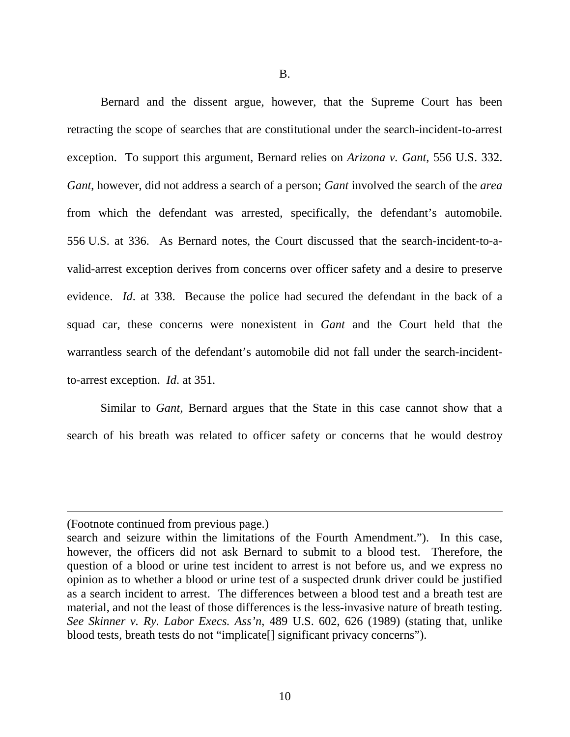Bernard and the dissent argue, however, that the Supreme Court has been retracting the scope of searches that are constitutional under the search-incident-to-arrest exception. To support this argument, Bernard relies on *Arizona v. Gant,* 556 U.S. 332. *Gant*, however, did not address a search of a person; *Gant* involved the search of the *area* from which the defendant was arrested, specifically, the defendant's automobile. 556 U.S. at 336. As Bernard notes, the Court discussed that the search-incident-to-avalid-arrest exception derives from concerns over officer safety and a desire to preserve evidence. *Id*. at 338. Because the police had secured the defendant in the back of a squad car, these concerns were nonexistent in *Gant* and the Court held that the warrantless search of the defendant's automobile did not fall under the search-incidentto-arrest exception. *Id*. at 351.

Similar to *Gant*, Bernard argues that the State in this case cannot show that a search of his breath was related to officer safety or concerns that he would destroy

 $\overline{a}$ 

<sup>(</sup>Footnote continued from previous page.)

search and seizure within the limitations of the Fourth Amendment."). In this case, however, the officers did not ask Bernard to submit to a blood test. Therefore, the question of a blood or urine test incident to arrest is not before us, and we express no opinion as to whether a blood or urine test of a suspected drunk driver could be justified as a search incident to arrest. The differences between a blood test and a breath test are material, and not the least of those differences is the less-invasive nature of breath testing. *See Skinner v. Ry. Labor Execs. Ass'n*, 489 U.S. 602, 626 (1989) (stating that, unlike blood tests, breath tests do not "implicate[] significant privacy concerns").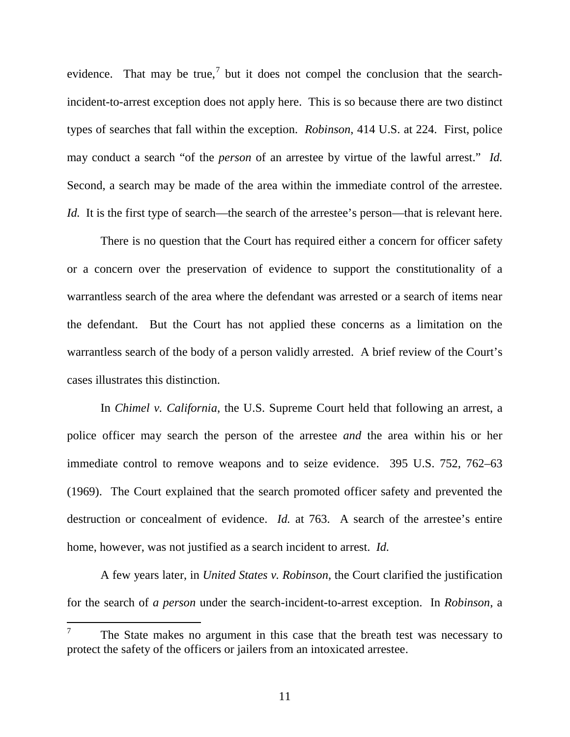evidence. That may be true,<sup>[7](#page-10-0)</sup> but it does not compel the conclusion that the searchincident-to-arrest exception does not apply here. This is so because there are two distinct types of searches that fall within the exception. *Robinson*, 414 U.S. at 224. First, police may conduct a search "of the *person* of an arrestee by virtue of the lawful arrest." *Id.*  Second, a search may be made of the area within the immediate control of the arrestee. *Id.* It is the first type of search—the search of the arrestee's person—that is relevant here.

There is no question that the Court has required either a concern for officer safety or a concern over the preservation of evidence to support the constitutionality of a warrantless search of the area where the defendant was arrested or a search of items near the defendant. But the Court has not applied these concerns as a limitation on the warrantless search of the body of a person validly arrested. A brief review of the Court's cases illustrates this distinction.

In *Chimel v. California*, the U.S. Supreme Court held that following an arrest, a police officer may search the person of the arrestee *and* the area within his or her immediate control to remove weapons and to seize evidence. 395 U.S. 752, 762–63 (1969). The Court explained that the search promoted officer safety and prevented the destruction or concealment of evidence. *Id.* at 763. A search of the arrestee's entire home, however, was not justified as a search incident to arrest. *Id.* 

A few years later, in *United States v. Robinson*, the Court clarified the justification for the search of *a person* under the search-incident-to-arrest exception. In *Robinson*, a

<span id="page-10-0"></span> $7$  The State makes no argument in this case that the breath test was necessary to protect the safety of the officers or jailers from an intoxicated arrestee.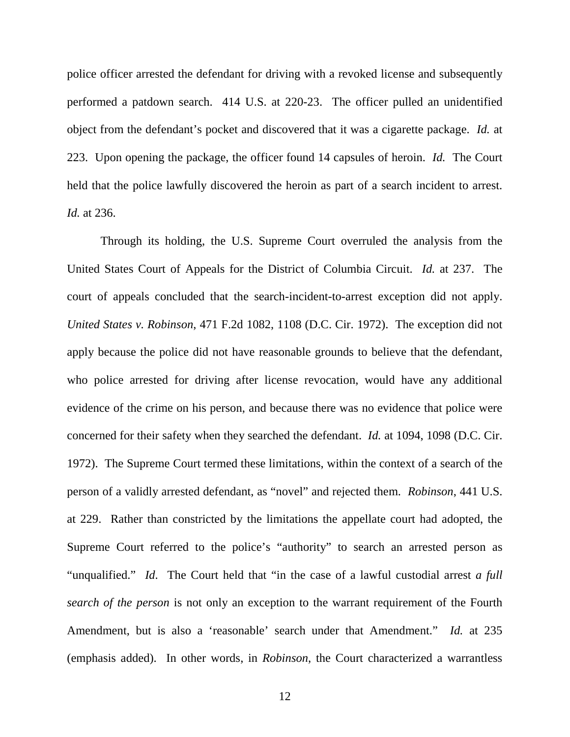police officer arrested the defendant for driving with a revoked license and subsequently performed a patdown search. 414 U.S. at 220-23. The officer pulled an unidentified object from the defendant's pocket and discovered that it was a cigarette package. *Id.* at 223.Upon opening the package, the officer found 14 capsules of heroin. *Id.* The Court held that the police lawfully discovered the heroin as part of a search incident to arrest. *Id.* at 236.

Through its holding, the U.S. Supreme Court overruled the analysis from the United States Court of Appeals for the District of Columbia Circuit. *Id.* at 237. The court of appeals concluded that the search-incident-to-arrest exception did not apply. *United States v. Robinson*, 471 F.2d 1082, 1108 (D.C. Cir. 1972). The exception did not apply because the police did not have reasonable grounds to believe that the defendant, who police arrested for driving after license revocation, would have any additional evidence of the crime on his person, and because there was no evidence that police were concerned for their safety when they searched the defendant. *Id.* at 1094, 1098 (D.C. Cir. 1972). The Supreme Court termed these limitations, within the context of a search of the person of a validly arrested defendant, as "novel" and rejected them. *Robinson*, 441 U.S. at 229. Rather than constricted by the limitations the appellate court had adopted, the Supreme Court referred to the police's "authority" to search an arrested person as "unqualified." *Id*. The Court held that "in the case of a lawful custodial arrest *a full search of the person* is not only an exception to the warrant requirement of the Fourth Amendment, but is also a 'reasonable' search under that Amendment." *Id.* at 235 (emphasis added). In other words, in *Robinson*, the Court characterized a warrantless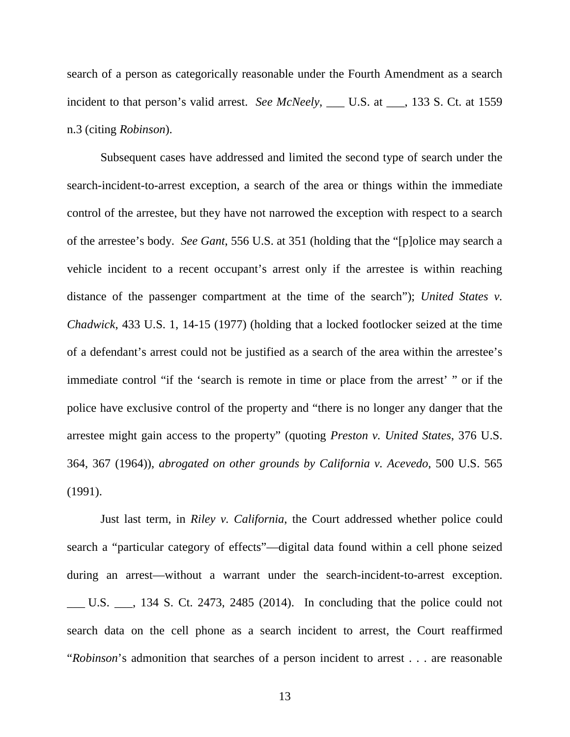search of a person as categorically reasonable under the Fourth Amendment as a search incident to that person's valid arrest. *See McNeely*, \_\_\_ U.S. at \_\_\_, 133 S. Ct. at 1559 n.3 (citing *Robinson*).

Subsequent cases have addressed and limited the second type of search under the search-incident-to-arrest exception, a search of the area or things within the immediate control of the arrestee, but they have not narrowed the exception with respect to a search of the arrestee's body. *See Gant*, 556 U.S. at 351 (holding that the "[p]olice may search a vehicle incident to a recent occupant's arrest only if the arrestee is within reaching distance of the passenger compartment at the time of the search"); *United States v. Chadwick*, 433 U.S. 1, 14-15 (1977) (holding that a locked footlocker seized at the time of a defendant's arrest could not be justified as a search of the area within the arrestee's immediate control "if the 'search is remote in time or place from the arrest' " or if the police have exclusive control of the property and "there is no longer any danger that the arrestee might gain access to the property" (quoting *Preston v. United States*, 376 U.S. 364, 367 (1964)), *abrogated on other grounds by California v. Acevedo*, 500 U.S. 565 (1991).

Just last term, in *Riley v. California*, the Court addressed whether police could search a "particular category of effects"—digital data found within a cell phone seized during an arrest—without a warrant under the search-incident-to-arrest exception. \_\_\_ U.S. \_\_\_, 134 S. Ct. 2473, 2485 (2014). In concluding that the police could not search data on the cell phone as a search incident to arrest, the Court reaffirmed "*Robinson*'s admonition that searches of a person incident to arrest . . . are reasonable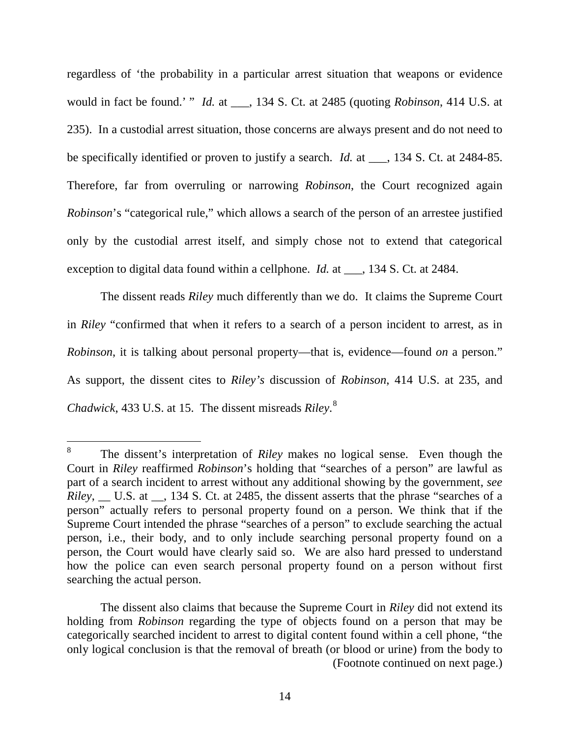regardless of 'the probability in a particular arrest situation that weapons or evidence would in fact be found.' " *Id.* at \_\_\_, 134 S. Ct. at 2485 (quoting *Robinson*, 414 U.S. at 235). In a custodial arrest situation, those concerns are always present and do not need to be specifically identified or proven to justify a search. *Id.* at \_\_\_, 134 S. Ct. at 2484-85. Therefore, far from overruling or narrowing *Robinson*, the Court recognized again *Robinson*'s "categorical rule," which allows a search of the person of an arrestee justified only by the custodial arrest itself, and simply chose not to extend that categorical exception to digital data found within a cellphone. *Id.* at \_\_\_, 134 S. Ct. at 2484.

The dissent reads *Riley* much differently than we do. It claims the Supreme Court in *Riley* "confirmed that when it refers to a search of a person incident to arrest, as in *Robinson*, it is talking about personal property—that is, evidence—found *on* a person." As support, the dissent cites to *Riley's* discussion of *Robinson*, 414 U.S. at 235, and *Chadwick*, 433 U.S. at 15. The dissent misreads *Riley*. [8](#page-13-0)

<span id="page-13-0"></span> <sup>8</sup> The dissent's interpretation of *Riley* makes no logical sense. Even though the Court in *Riley* reaffirmed *Robinson*'s holding that "searches of a person" are lawful as part of a search incident to arrest without any additional showing by the government, *see Riley*, U.S. at 134 S. Ct. at 2485, the dissent asserts that the phrase "searches of a person" actually refers to personal property found on a person. We think that if the Supreme Court intended the phrase "searches of a person" to exclude searching the actual person, i.e., their body, and to only include searching personal property found on a person, the Court would have clearly said so. We are also hard pressed to understand how the police can even search personal property found on a person without first searching the actual person.

The dissent also claims that because the Supreme Court in *Riley* did not extend its holding from *Robinson* regarding the type of objects found on a person that may be categorically searched incident to arrest to digital content found within a cell phone, "the only logical conclusion is that the removal of breath (or blood or urine) from the body to (Footnote continued on next page.)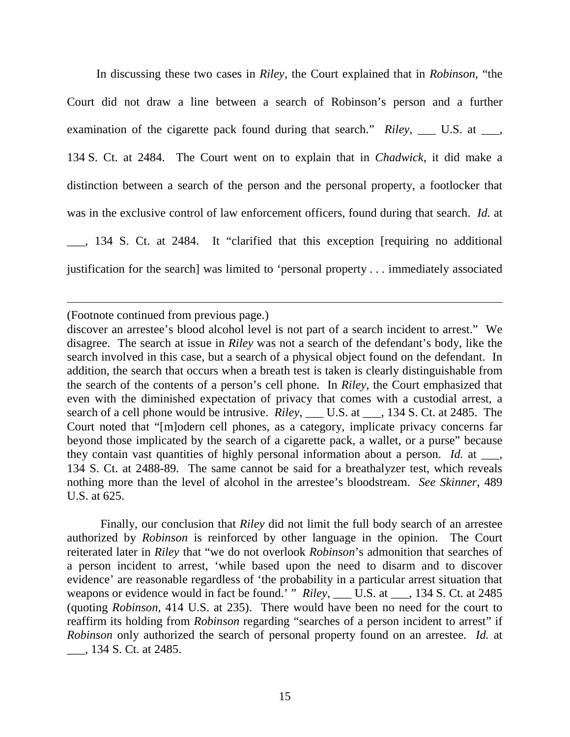In discussing these two cases in *Riley*, the Court explained that in *Robinson*, "the Court did not draw a line between a search of Robinson's person and a further examination of the cigarette pack found during that search." *Riley*, \_\_\_ U.S. at \_\_\_, 134 S. Ct. at 2484. The Court went on to explain that in *Chadwick*, it did make a distinction between a search of the person and the personal property, a footlocker that was in the exclusive control of law enforcement officers, found during that search. *Id.* at \_\_\_, 134 S. Ct. at 2484. It "clarified that this exception [requiring no additional justification for the search] was limited to 'personal property . . . immediately associated

(Footnote continued from previous page.)

 $\overline{a}$ 

discover an arrestee's blood alcohol level is not part of a search incident to arrest." We disagree. The search at issue in *Riley* was not a search of the defendant's body, like the search involved in this case, but a search of a physical object found on the defendant. In addition, the search that occurs when a breath test is taken is clearly distinguishable from the search of the contents of a person's cell phone. In *Riley*, the Court emphasized that even with the diminished expectation of privacy that comes with a custodial arrest, a search of a cell phone would be intrusive. *Riley*, \_\_\_ U.S. at \_\_\_, 134 S. Ct. at 2485. The Court noted that "[m]odern cell phones, as a category, implicate privacy concerns far beyond those implicated by the search of a cigarette pack, a wallet, or a purse" because they contain vast quantities of highly personal information about a person. *Id.* at \_\_\_, 134 S. Ct. at 2488-89. The same cannot be said for a breathalyzer test, which reveals nothing more than the level of alcohol in the arrestee's bloodstream. *See Skinner*, 489 U.S. at 625.

Finally, our conclusion that *Riley* did not limit the full body search of an arrestee authorized by *Robinson* is reinforced by other language in the opinion. The Court reiterated later in *Riley* that "we do not overlook *Robinson*'s admonition that searches of a person incident to arrest, 'while based upon the need to disarm and to discover evidence' are reasonable regardless of 'the probability in a particular arrest situation that weapons or evidence would in fact be found.' " *Riley*, \_\_\_ U.S. at \_\_\_, 134 S. Ct. at 2485 (quoting *Robinson*, 414 U.S. at 235). There would have been no need for the court to reaffirm its holding from *Robinson* regarding "searches of a person incident to arrest" if *Robinson* only authorized the search of personal property found on an arrestee. *Id.* at \_\_\_, 134 S. Ct. at 2485.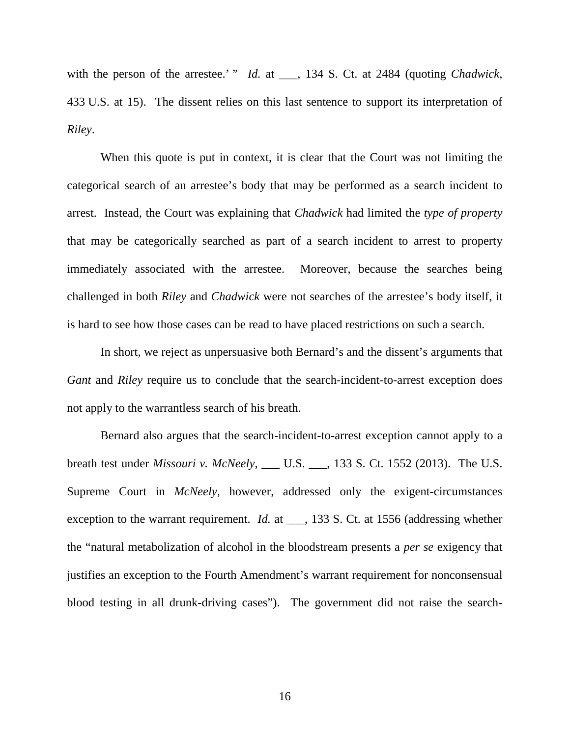with the person of the arrestee.' " *Id.* at \_\_\_, 134 S. Ct. at 2484 (quoting *Chadwick*, 433 U.S. at 15). The dissent relies on this last sentence to support its interpretation of *Riley*.

When this quote is put in context, it is clear that the Court was not limiting the categorical search of an arrestee's body that may be performed as a search incident to arrest. Instead, the Court was explaining that *Chadwick* had limited the *type of property* that may be categorically searched as part of a search incident to arrest to property immediately associated with the arrestee. Moreover, because the searches being challenged in both *Riley* and *Chadwick* were not searches of the arrestee's body itself, it is hard to see how those cases can be read to have placed restrictions on such a search.

In short, we reject as unpersuasive both Bernard's and the dissent's arguments that *Gant* and *Riley* require us to conclude that the search-incident-to-arrest exception does not apply to the warrantless search of his breath.

Bernard also argues that the search-incident-to-arrest exception cannot apply to a breath test under *Missouri v. McNeely*, \_\_\_ U.S. \_\_\_, 133 S. Ct. 1552 (2013). The U.S. Supreme Court in *McNeely*, however, addressed only the exigent-circumstances exception to the warrant requirement. *Id.* at \_\_\_, 133 S. Ct. at 1556 (addressing whether the "natural metabolization of alcohol in the bloodstream presents a *per se* exigency that justifies an exception to the Fourth Amendment's warrant requirement for nonconsensual blood testing in all drunk-driving cases"). The government did not raise the search-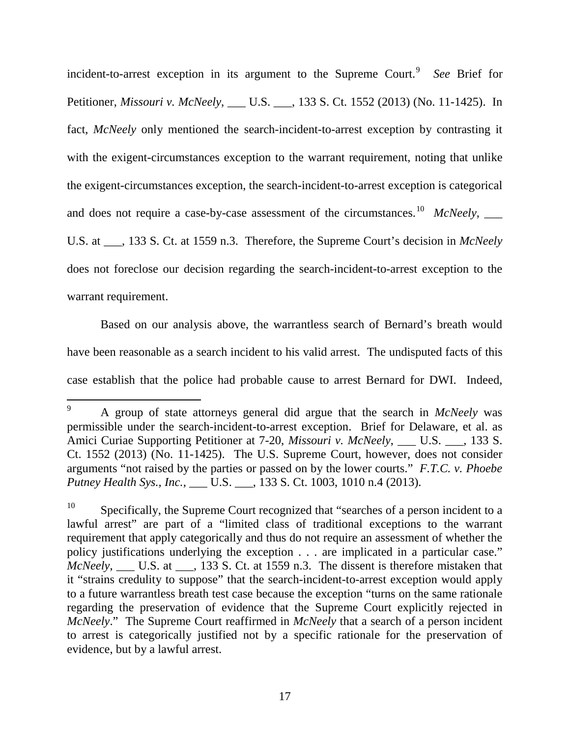incident-to-arrest exception in its argument to the Supreme Court.<sup>[9](#page-16-0)</sup> See Brief for Petitioner, *Missouri v. McNeely*, \_\_\_ U.S. \_\_\_, 133 S. Ct. 1552 (2013) (No. 11-1425). In fact, *McNeely* only mentioned the search-incident-to-arrest exception by contrasting it with the exigent-circumstances exception to the warrant requirement, noting that unlike the exigent-circumstances exception, the search-incident-to-arrest exception is categorical and does not require a case-by-case assessment of the circumstances.<sup>[10](#page-16-1)</sup> *McNeely*, U.S. at \_\_\_, 133 S. Ct. at 1559 n.3. Therefore, the Supreme Court's decision in *McNeely*  does not foreclose our decision regarding the search-incident-to-arrest exception to the warrant requirement.

Based on our analysis above, the warrantless search of Bernard's breath would have been reasonable as a search incident to his valid arrest. The undisputed facts of this case establish that the police had probable cause to arrest Bernard for DWI. Indeed,

<span id="page-16-0"></span> <sup>9</sup> A group of state attorneys general did argue that the search in *McNeely* was permissible under the search-incident-to-arrest exception. Brief for Delaware, et al. as Amici Curiae Supporting Petitioner at 7-20, *Missouri v. McNeely*, U.S. , 133 S. Ct. 1552 (2013) (No. 11-1425). The U.S. Supreme Court, however, does not consider arguments "not raised by the parties or passed on by the lower courts." *F.T.C. v. Phoebe Putney Health Sys., Inc.*, \_\_\_ U.S. \_\_\_, 133 S. Ct. 1003, 1010 n.4 (2013).

<span id="page-16-1"></span> $10$  Specifically, the Supreme Court recognized that "searches of a person incident to a lawful arrest" are part of a "limited class of traditional exceptions to the warrant requirement that apply categorically and thus do not require an assessment of whether the policy justifications underlying the exception . . . are implicated in a particular case." *McNeely*, \_\_\_ U.S. at \_\_\_, 133 S. Ct. at 1559 n.3. The dissent is therefore mistaken that it "strains credulity to suppose" that the search-incident-to-arrest exception would apply to a future warrantless breath test case because the exception "turns on the same rationale regarding the preservation of evidence that the Supreme Court explicitly rejected in *McNeely*." The Supreme Court reaffirmed in *McNeely* that a search of a person incident to arrest is categorically justified not by a specific rationale for the preservation of evidence, but by a lawful arrest.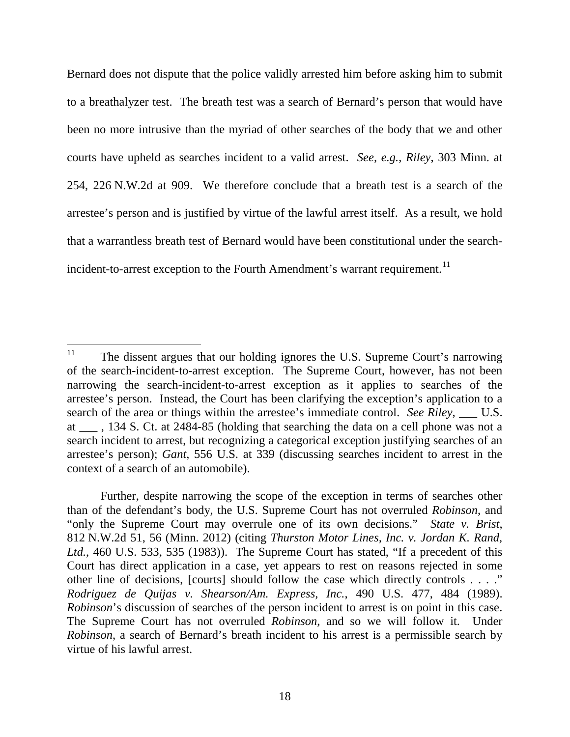Bernard does not dispute that the police validly arrested him before asking him to submit to a breathalyzer test. The breath test was a search of Bernard's person that would have been no more intrusive than the myriad of other searches of the body that we and other courts have upheld as searches incident to a valid arrest. *See, e.g.*, *Riley*, 303 Minn. at 254, 226 N.W.2d at 909. We therefore conclude that a breath test is a search of the arrestee's person and is justified by virtue of the lawful arrest itself. As a result, we hold that a warrantless breath test of Bernard would have been constitutional under the search-incident-to-arrest exception to the Fourth Amendment's warrant requirement.<sup>[11](#page-17-0)</sup>

<span id="page-17-0"></span><sup>&</sup>lt;sup>11</sup> The dissent argues that our holding ignores the U.S. Supreme Court's narrowing of the search-incident-to-arrest exception. The Supreme Court, however, has not been narrowing the search-incident-to-arrest exception as it applies to searches of the arrestee's person. Instead, the Court has been clarifying the exception's application to a search of the area or things within the arrestee's immediate control. *See Riley*, \_\_\_ U.S. at \_\_\_ , 134 S. Ct. at 2484-85 (holding that searching the data on a cell phone was not a search incident to arrest, but recognizing a categorical exception justifying searches of an arrestee's person); *Gant*, 556 U.S. at 339 (discussing searches incident to arrest in the context of a search of an automobile).

Further, despite narrowing the scope of the exception in terms of searches other than of the defendant's body, the U.S. Supreme Court has not overruled *Robinson*, and "only the Supreme Court may overrule one of its own decisions." *State v. Brist*, 812 N.W.2d 51, 56 (Minn. 2012) (citing *Thurston Motor Lines, Inc. v. Jordan K. Rand, Ltd.*, 460 U.S. 533, 535 (1983)). The Supreme Court has stated, "If a precedent of this Court has direct application in a case, yet appears to rest on reasons rejected in some other line of decisions, [courts] should follow the case which directly controls . . . ." *Rodriguez de Quijas v. Shearson/Am. Express, Inc.*, 490 U.S. 477, 484 (1989). *Robinson*'s discussion of searches of the person incident to arrest is on point in this case. The Supreme Court has not overruled *Robinson*, and so we will follow it. Under *Robinson*, a search of Bernard's breath incident to his arrest is a permissible search by virtue of his lawful arrest.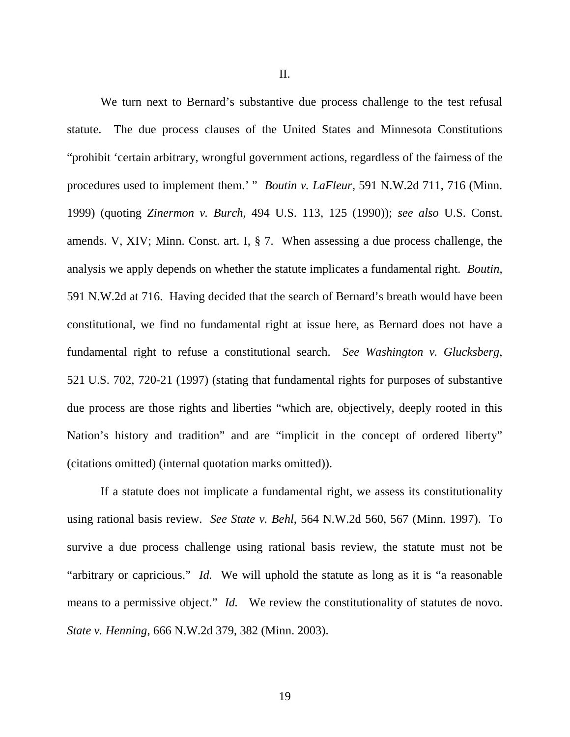II.

We turn next to Bernard's substantive due process challenge to the test refusal statute. The due process clauses of the United States and Minnesota Constitutions "prohibit 'certain arbitrary, wrongful government actions, regardless of the fairness of the procedures used to implement them.' " *Boutin v. LaFleur*, 591 N.W.2d 711, 716 (Minn. 1999) (quoting *Zinermon v. Burch*, 494 U.S. 113, 125 (1990)); *see also* U.S. Const. amends. V, XIV; Minn. Const. art. I, § 7. When assessing a due process challenge, the analysis we apply depends on whether the statute implicates a fundamental right. *Boutin*, 591 N.W.2d at 716. Having decided that the search of Bernard's breath would have been constitutional, we find no fundamental right at issue here, as Bernard does not have a fundamental right to refuse a constitutional search. *See Washington v. Glucksberg*, 521 U.S. 702, 720-21 (1997) (stating that fundamental rights for purposes of substantive due process are those rights and liberties "which are, objectively, deeply rooted in this Nation's history and tradition" and are "implicit in the concept of ordered liberty" (citations omitted) (internal quotation marks omitted)).

If a statute does not implicate a fundamental right, we assess its constitutionality using rational basis review. *See State v. Behl*, 564 N.W.2d 560, 567 (Minn. 1997). To survive a due process challenge using rational basis review, the statute must not be "arbitrary or capricious." *Id.* We will uphold the statute as long as it is "a reasonable means to a permissive object." *Id.* We review the constitutionality of statutes de novo. *State v. Henning*, 666 N.W.2d 379, 382 (Minn. 2003).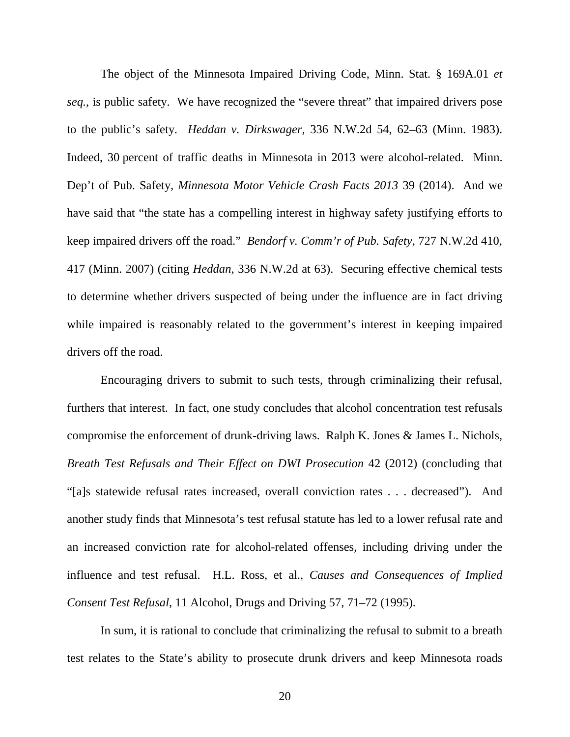The object of the Minnesota Impaired Driving Code, Minn. Stat. § 169A.01 *et seq.*, is public safety. We have recognized the "severe threat" that impaired drivers pose to the public's safety. *Heddan v. Dirkswager*, 336 N.W.2d 54, 62–63 (Minn. 1983). Indeed, 30 percent of traffic deaths in Minnesota in 2013 were alcohol-related. Minn. Dep't of Pub. Safety, *Minnesota Motor Vehicle Crash Facts 2013* 39 (2014). And we have said that "the state has a compelling interest in highway safety justifying efforts to keep impaired drivers off the road." *Bendorf v. Comm'r of Pub. Safety*, 727 N.W.2d 410, 417 (Minn. 2007) (citing *Heddan*, 336 N.W.2d at 63). Securing effective chemical tests to determine whether drivers suspected of being under the influence are in fact driving while impaired is reasonably related to the government's interest in keeping impaired drivers off the road.

Encouraging drivers to submit to such tests, through criminalizing their refusal, furthers that interest. In fact, one study concludes that alcohol concentration test refusals compromise the enforcement of drunk-driving laws. Ralph K. Jones & James L. Nichols, *Breath Test Refusals and Their Effect on DWI Prosecution* 42 (2012) (concluding that "[a]s statewide refusal rates increased, overall conviction rates . . . decreased"). And another study finds that Minnesota's test refusal statute has led to a lower refusal rate and an increased conviction rate for alcohol-related offenses, including driving under the influence and test refusal. H.L. Ross, et al., *Causes and Consequences of Implied Consent Test Refusal*, 11 Alcohol, Drugs and Driving 57, 71–72 (1995).

In sum, it is rational to conclude that criminalizing the refusal to submit to a breath test relates to the State's ability to prosecute drunk drivers and keep Minnesota roads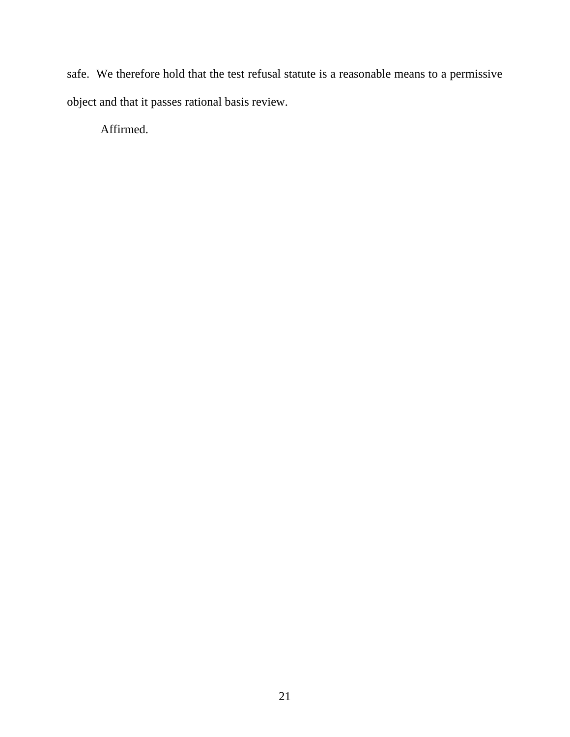safe. We therefore hold that the test refusal statute is a reasonable means to a permissive object and that it passes rational basis review.

Affirmed.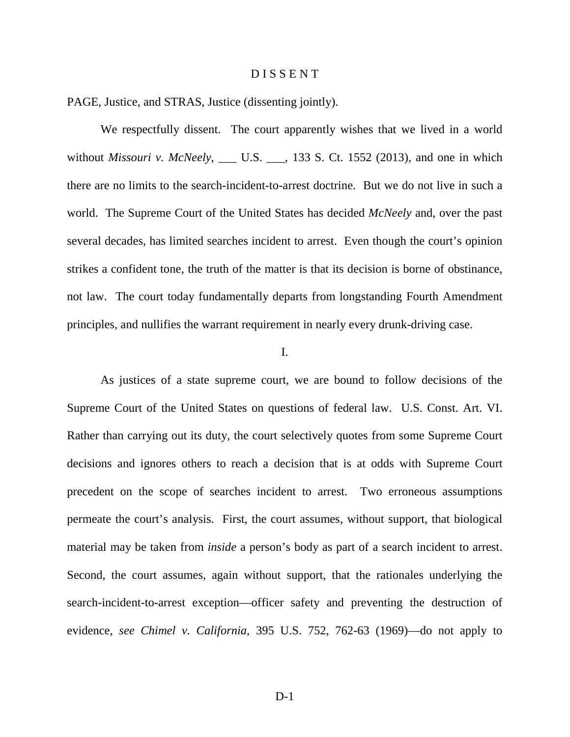#### D I S S E N T

PAGE, Justice, and STRAS, Justice (dissenting jointly).

We respectfully dissent. The court apparently wishes that we lived in a world without *Missouri v. McNeely*, \_\_\_ U.S. \_\_\_, 133 S. Ct. 1552 (2013), and one in which there are no limits to the search-incident-to-arrest doctrine. But we do not live in such a world. The Supreme Court of the United States has decided *McNeely* and, over the past several decades, has limited searches incident to arrest. Even though the court's opinion strikes a confident tone, the truth of the matter is that its decision is borne of obstinance, not law. The court today fundamentally departs from longstanding Fourth Amendment principles, and nullifies the warrant requirement in nearly every drunk-driving case.

### I.

As justices of a state supreme court, we are bound to follow decisions of the Supreme Court of the United States on questions of federal law. U.S. Const. Art. VI. Rather than carrying out its duty, the court selectively quotes from some Supreme Court decisions and ignores others to reach a decision that is at odds with Supreme Court precedent on the scope of searches incident to arrest. Two erroneous assumptions permeate the court's analysis. First, the court assumes, without support, that biological material may be taken from *inside* a person's body as part of a search incident to arrest. Second, the court assumes, again without support, that the rationales underlying the search-incident-to-arrest exception—officer safety and preventing the destruction of evidence, *see Chimel v. California*, 395 U.S. 752, 762-63 (1969)—do not apply to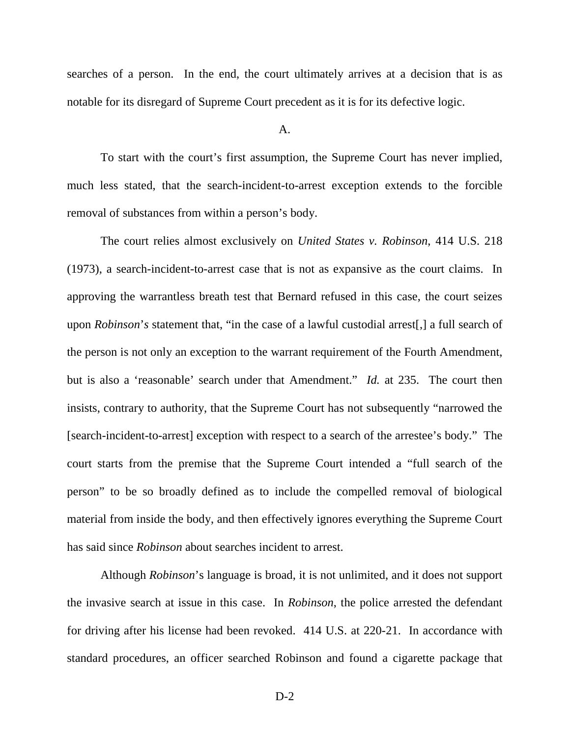searches of a person. In the end, the court ultimately arrives at a decision that is as notable for its disregard of Supreme Court precedent as it is for its defective logic.

## A.

To start with the court's first assumption, the Supreme Court has never implied, much less stated, that the search-incident-to-arrest exception extends to the forcible removal of substances from within a person's body.

The court relies almost exclusively on *United States v. Robinson*, 414 U.S. 218 (1973), a search-incident-to-arrest case that is not as expansive as the court claims. In approving the warrantless breath test that Bernard refused in this case, the court seizes upon *Robinson*'*s* statement that, "in the case of a lawful custodial arrest[,] a full search of the person is not only an exception to the warrant requirement of the Fourth Amendment, but is also a 'reasonable' search under that Amendment." *Id.* at 235. The court then insists, contrary to authority, that the Supreme Court has not subsequently "narrowed the [search-incident-to-arrest] exception with respect to a search of the arrestee's body." The court starts from the premise that the Supreme Court intended a "full search of the person" to be so broadly defined as to include the compelled removal of biological material from inside the body, and then effectively ignores everything the Supreme Court has said since *Robinson* about searches incident to arrest.

Although *Robinson*'s language is broad, it is not unlimited, and it does not support the invasive search at issue in this case. In *Robinson*, the police arrested the defendant for driving after his license had been revoked. 414 U.S. at 220-21. In accordance with standard procedures, an officer searched Robinson and found a cigarette package that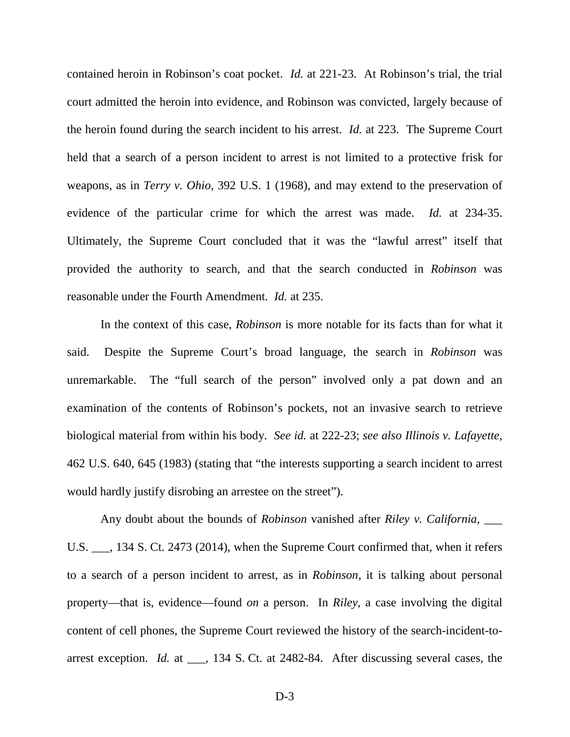contained heroin in Robinson's coat pocket. *Id.* at 221-23. At Robinson's trial, the trial court admitted the heroin into evidence, and Robinson was convicted, largely because of the heroin found during the search incident to his arrest. *Id.* at 223. The Supreme Court held that a search of a person incident to arrest is not limited to a protective frisk for weapons, as in *Terry v. Ohio*, 392 U.S. 1 (1968), and may extend to the preservation of evidence of the particular crime for which the arrest was made. *Id.* at 234-35. Ultimately, the Supreme Court concluded that it was the "lawful arrest" itself that provided the authority to search, and that the search conducted in *Robinson* was reasonable under the Fourth Amendment. *Id.* at 235.

In the context of this case, *Robinson* is more notable for its facts than for what it said. Despite the Supreme Court's broad language, the search in *Robinson* was unremarkable. The "full search of the person" involved only a pat down and an examination of the contents of Robinson's pockets, not an invasive search to retrieve biological material from within his body. *See id.* at 222-23; *see also Illinois v. Lafayette*, 462 U.S. 640, 645 (1983) (stating that "the interests supporting a search incident to arrest would hardly justify disrobing an arrestee on the street").

Any doubt about the bounds of *Robinson* vanished after *Riley v. California*, \_\_\_ U.S. \_\_\_, 134 S. Ct. 2473 (2014), when the Supreme Court confirmed that, when it refers to a search of a person incident to arrest, as in *Robinson*, it is talking about personal property—that is, evidence—found *on* a person. In *Riley*, a case involving the digital content of cell phones, the Supreme Court reviewed the history of the search-incident-toarrest exception. *Id.* at \_\_\_, 134 S. Ct. at 2482-84. After discussing several cases, the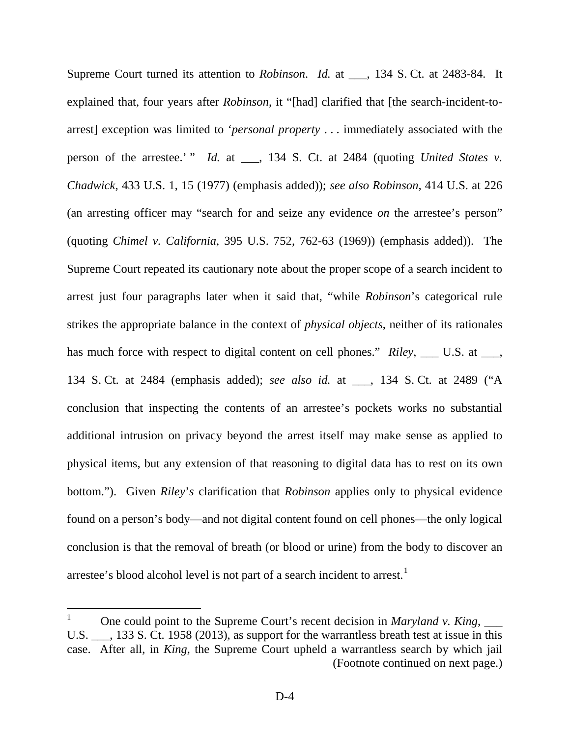Supreme Court turned its attention to *Robinson*. *Id.* at \_\_\_, 134 S. Ct. at 2483-84. It explained that, four years after *Robinson*, it "[had] clarified that [the search-incident-toarrest] exception was limited to '*personal property* . . . immediately associated with the person of the arrestee.' " *Id.* at \_\_\_, 134 S. Ct. at 2484 (quoting *United States v. Chadwick*, 433 U.S. 1, 15 (1977) (emphasis added)); *see also Robinson*, 414 U.S. at 226 (an arresting officer may "search for and seize any evidence *on* the arrestee's person" (quoting *Chimel v. California*, 395 U.S. 752, 762-63 (1969)) (emphasis added)). The Supreme Court repeated its cautionary note about the proper scope of a search incident to arrest just four paragraphs later when it said that, "while *Robinson*'s categorical rule strikes the appropriate balance in the context of *physical objects*, neither of its rationales has much force with respect to digital content on cell phones." *Riley*, \_\_\_ U.S. at \_\_\_, 134 S. Ct. at 2484 (emphasis added); *see also id.* at \_\_\_, 134 S. Ct. at 2489 ("A conclusion that inspecting the contents of an arrestee's pockets works no substantial additional intrusion on privacy beyond the arrest itself may make sense as applied to physical items, but any extension of that reasoning to digital data has to rest on its own bottom."). Given *Riley*'*s* clarification that *Robinson* applies only to physical evidence found on a person's body—and not digital content found on cell phones—the only logical conclusion is that the removal of breath (or blood or urine) from the body to discover an arrestee's blood alcohol level is not part of a search incident to arrest.<sup>[1](#page-24-0)</sup>

<span id="page-24-0"></span><sup>&</sup>lt;sup>1</sup> One could point to the Supreme Court's recent decision in *Maryland v. King*,  $\frac{1}{\sqrt{2}}$ U.S.  $\ldots$ , 133 S. Ct. 1958 (2013), as support for the warrantless breath test at issue in this case. After all, in *King*, the Supreme Court upheld a warrantless search by which jail (Footnote continued on next page.)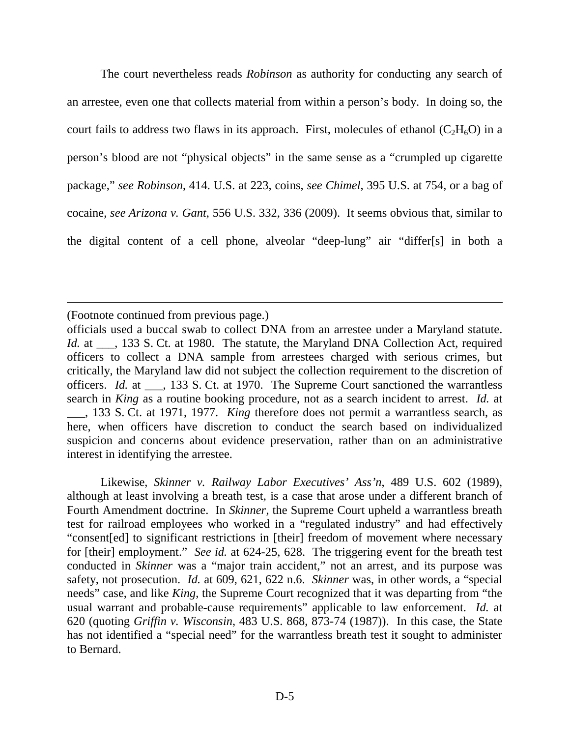The court nevertheless reads *Robinson* as authority for conducting any search of an arrestee, even one that collects material from within a person's body. In doing so, the court fails to address two flaws in its approach. First, molecules of ethanol  $(C<sub>2</sub>H<sub>6</sub>O)$  in a person's blood are not "physical objects" in the same sense as a "crumpled up cigarette package," *see Robinson*, 414. U.S. at 223, coins, *see Chimel*, 395 U.S. at 754, or a bag of cocaine, *see Arizona v. Gant*, 556 U.S. 332, 336 (2009). It seems obvious that, similar to the digital content of a cell phone, alveolar "deep-lung" air "differ[s] in both a

(Footnote continued from previous page.)

 $\overline{a}$ 

Likewise, *Skinner v. Railway Labor Executives' Ass'n*, 489 U.S. 602 (1989), although at least involving a breath test, is a case that arose under a different branch of Fourth Amendment doctrine. In *Skinner*, the Supreme Court upheld a warrantless breath test for railroad employees who worked in a "regulated industry" and had effectively "consent[ed] to significant restrictions in [their] freedom of movement where necessary for [their] employment." *See id.* at 624-25, 628. The triggering event for the breath test conducted in *Skinner* was a "major train accident," not an arrest, and its purpose was safety, not prosecution. *Id.* at 609, 621, 622 n.6. *Skinner* was, in other words, a "special needs" case, and like *King*, the Supreme Court recognized that it was departing from "the usual warrant and probable-cause requirements" applicable to law enforcement. *Id.* at 620 (quoting *Griffin v. Wisconsin*, 483 U.S. 868, 873-74 (1987)). In this case, the State has not identified a "special need" for the warrantless breath test it sought to administer to Bernard.

officials used a buccal swab to collect DNA from an arrestee under a Maryland statute. *Id.* at \_\_\_, 133 S. Ct. at 1980. The statute, the Maryland DNA Collection Act, required officers to collect a DNA sample from arrestees charged with serious crimes, but critically, the Maryland law did not subject the collection requirement to the discretion of officers. *Id.* at  $\qquad$ , 133 S. Ct. at 1970. The Supreme Court sanctioned the warrantless search in *King* as a routine booking procedure, not as a search incident to arrest. *Id.* at \_\_\_, 133 S. Ct. at 1971, 1977. *King* therefore does not permit a warrantless search, as here, when officers have discretion to conduct the search based on individualized suspicion and concerns about evidence preservation, rather than on an administrative interest in identifying the arrestee.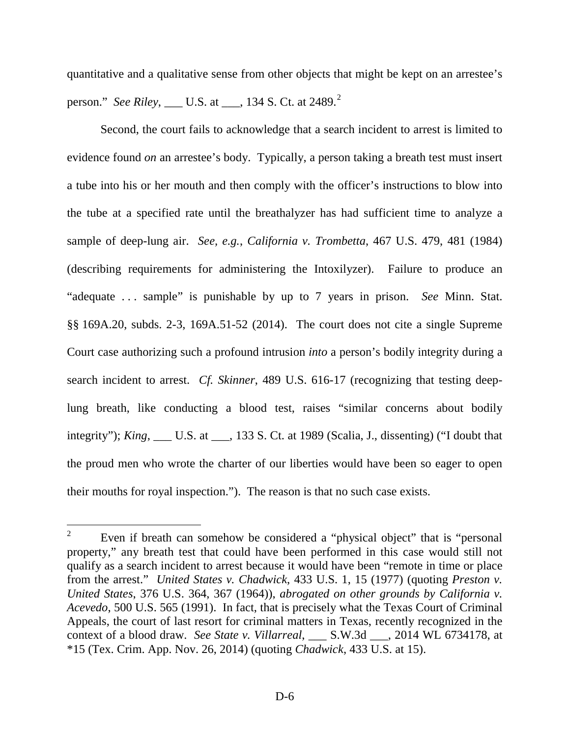quantitative and a qualitative sense from other objects that might be kept on an arrestee's person." *See Riley*, \_\_\_ U.S. at \_\_\_, 134 S. Ct. at [2](#page-26-0)489.<sup>2</sup>

Second, the court fails to acknowledge that a search incident to arrest is limited to evidence found *on* an arrestee's body. Typically, a person taking a breath test must insert a tube into his or her mouth and then comply with the officer's instructions to blow into the tube at a specified rate until the breathalyzer has had sufficient time to analyze a sample of deep-lung air. *See, e.g.*, *California v. Trombetta*, 467 U.S. 479, 481 (1984) (describing requirements for administering the Intoxilyzer). Failure to produce an "adequate . . . sample" is punishable by up to 7 years in prison. *See* Minn. Stat. §§ 169A.20, subds. 2-3, 169A.51-52 (2014). The court does not cite a single Supreme Court case authorizing such a profound intrusion *into* a person's bodily integrity during a search incident to arrest. *Cf. Skinner*, 489 U.S. 616-17 (recognizing that testing deeplung breath, like conducting a blood test, raises "similar concerns about bodily integrity"); *King*, \_\_\_ U.S. at \_\_\_, 133 S. Ct. at 1989 (Scalia, J., dissenting) ("I doubt that the proud men who wrote the charter of our liberties would have been so eager to open their mouths for royal inspection."). The reason is that no such case exists.

<span id="page-26-0"></span><sup>&</sup>lt;sup>2</sup> Even if breath can somehow be considered a "physical object" that is "personal property," any breath test that could have been performed in this case would still not qualify as a search incident to arrest because it would have been "remote in time or place from the arrest." *United States v. Chadwick*, 433 U.S. 1, 15 (1977) (quoting *Preston v. United States*, 376 U.S. 364, 367 (1964)), *abrogated on other grounds by California v. Acevedo*, 500 U.S. 565 (1991). In fact, that is precisely what the Texas Court of Criminal Appeals, the court of last resort for criminal matters in Texas, recently recognized in the context of a blood draw. *See State v. Villarreal*, \_\_\_ S.W.3d \_\_\_, 2014 WL 6734178, at \*15 (Tex. Crim. App. Nov. 26, 2014) (quoting *Chadwick*, 433 U.S. at 15).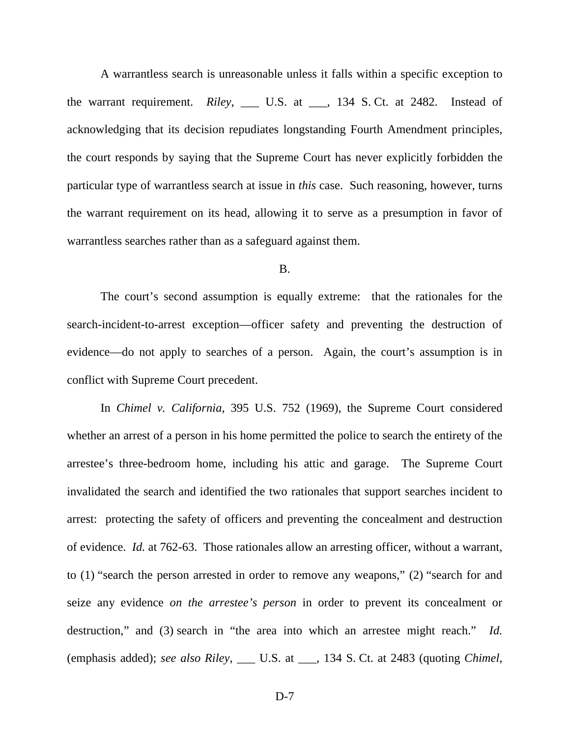A warrantless search is unreasonable unless it falls within a specific exception to the warrant requirement. *Riley*, \_\_\_ U.S. at \_\_\_, 134 S. Ct. at 2482. Instead of acknowledging that its decision repudiates longstanding Fourth Amendment principles, the court responds by saying that the Supreme Court has never explicitly forbidden the particular type of warrantless search at issue in *this* case. Such reasoning, however, turns the warrant requirement on its head, allowing it to serve as a presumption in favor of warrantless searches rather than as a safeguard against them.

## B.

The court's second assumption is equally extreme: that the rationales for the search-incident-to-arrest exception—officer safety and preventing the destruction of evidence—do not apply to searches of a person. Again, the court's assumption is in conflict with Supreme Court precedent.

In *Chimel v. California*, 395 U.S. 752 (1969), the Supreme Court considered whether an arrest of a person in his home permitted the police to search the entirety of the arrestee's three-bedroom home, including his attic and garage. The Supreme Court invalidated the search and identified the two rationales that support searches incident to arrest: protecting the safety of officers and preventing the concealment and destruction of evidence. *Id.* at 762-63. Those rationales allow an arresting officer, without a warrant, to (1) "search the person arrested in order to remove any weapons," (2) "search for and seize any evidence *on the arrestee's person* in order to prevent its concealment or destruction," and (3) search in "the area into which an arrestee might reach." *Id.* (emphasis added); *see also Riley*, \_\_\_ U.S. at \_\_\_, 134 S. Ct. at 2483 (quoting *Chimel*,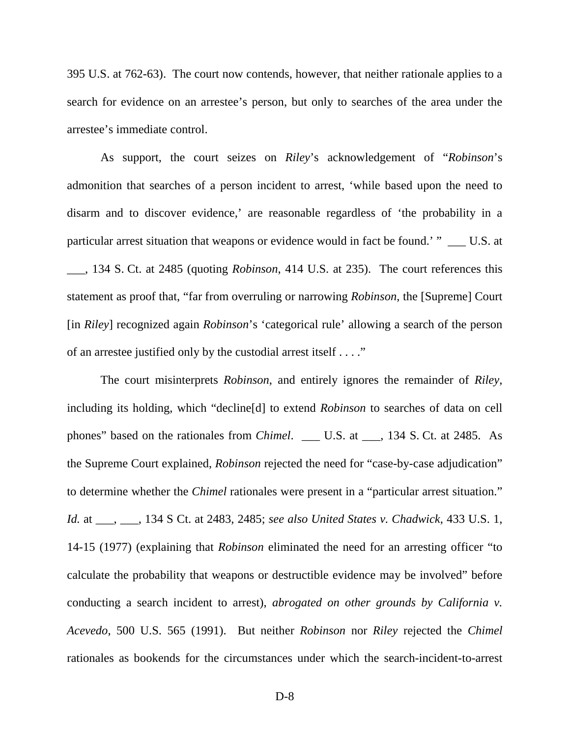395 U.S. at 762-63). The court now contends, however, that neither rationale applies to a search for evidence on an arrestee's person, but only to searches of the area under the arrestee's immediate control.

As support, the court seizes on *Riley*'s acknowledgement of "*Robinson*'s admonition that searches of a person incident to arrest, 'while based upon the need to disarm and to discover evidence,' are reasonable regardless of 'the probability in a particular arrest situation that weapons or evidence would in fact be found.' " \_\_\_ U.S. at \_\_\_, 134 S. Ct. at 2485 (quoting *Robinson*, 414 U.S. at 235). The court references this statement as proof that, "far from overruling or narrowing *Robinson*, the [Supreme] Court [in *Riley*] recognized again *Robinson*'s 'categorical rule' allowing a search of the person of an arrestee justified only by the custodial arrest itself . . . ."

The court misinterprets *Robinson*, and entirely ignores the remainder of *Riley*, including its holding, which "decline[d] to extend *Robinson* to searches of data on cell phones" based on the rationales from *Chimel*. \_\_\_ U.S. at \_\_\_, 134 S. Ct. at 2485. As the Supreme Court explained, *Robinson* rejected the need for "case-by-case adjudication" to determine whether the *Chimel* rationales were present in a "particular arrest situation." *Id.* at \_\_\_, \_\_\_, 134 S Ct. at 2483, 2485; *see also United States v. Chadwick*, 433 U.S. 1, 14-15 (1977) (explaining that *Robinson* eliminated the need for an arresting officer "to calculate the probability that weapons or destructible evidence may be involved" before conducting a search incident to arrest), *abrogated on other grounds by California v. Acevedo*, 500 U.S. 565 (1991). But neither *Robinson* nor *Riley* rejected the *Chimel*  rationales as bookends for the circumstances under which the search-incident-to-arrest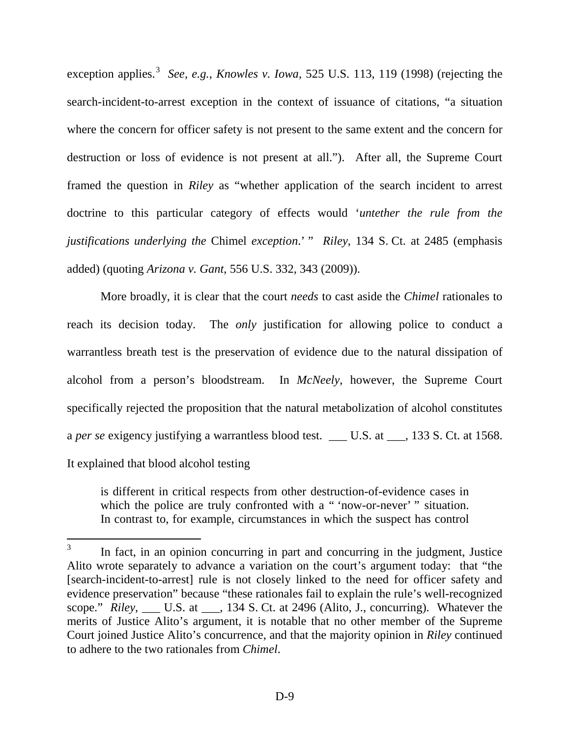exception applies.<sup>[3](#page-29-0)</sup> See, e.g., *Knowles v. Iowa*, 525 U.S. 113, 119 (1998) (rejecting the search-incident-to-arrest exception in the context of issuance of citations, "a situation where the concern for officer safety is not present to the same extent and the concern for destruction or loss of evidence is not present at all."). After all, the Supreme Court framed the question in *Riley* as "whether application of the search incident to arrest doctrine to this particular category of effects would '*untether the rule from the justifications underlying the* Chimel *exception*.' " *Riley*, 134 S. Ct. at 2485 (emphasis added) (quoting *Arizona v. Gant*, 556 U.S. 332, 343 (2009)).

More broadly, it is clear that the court *needs* to cast aside the *Chimel* rationales to reach its decision today. The *only* justification for allowing police to conduct a warrantless breath test is the preservation of evidence due to the natural dissipation of alcohol from a person's bloodstream. In *McNeely*, however, the Supreme Court specifically rejected the proposition that the natural metabolization of alcohol constitutes a *per se* exigency justifying a warrantless blood test. \_\_\_ U.S. at \_\_\_, 133 S. Ct. at 1568. It explained that blood alcohol testing

is different in critical respects from other destruction-of-evidence cases in which the police are truly confronted with a " 'now-or-never' " situation. In contrast to, for example, circumstances in which the suspect has control

<span id="page-29-0"></span><sup>&</sup>lt;sup>3</sup> In fact, in an opinion concurring in part and concurring in the judgment, Justice Alito wrote separately to advance a variation on the court's argument today: that "the [search-incident-to-arrest] rule is not closely linked to the need for officer safety and evidence preservation" because "these rationales fail to explain the rule's well-recognized scope." *Riley*, \_\_\_ U.S. at \_\_\_, 134 S. Ct. at 2496 (Alito, J., concurring). Whatever the merits of Justice Alito's argument, it is notable that no other member of the Supreme Court joined Justice Alito's concurrence, and that the majority opinion in *Riley* continued to adhere to the two rationales from *Chimel*.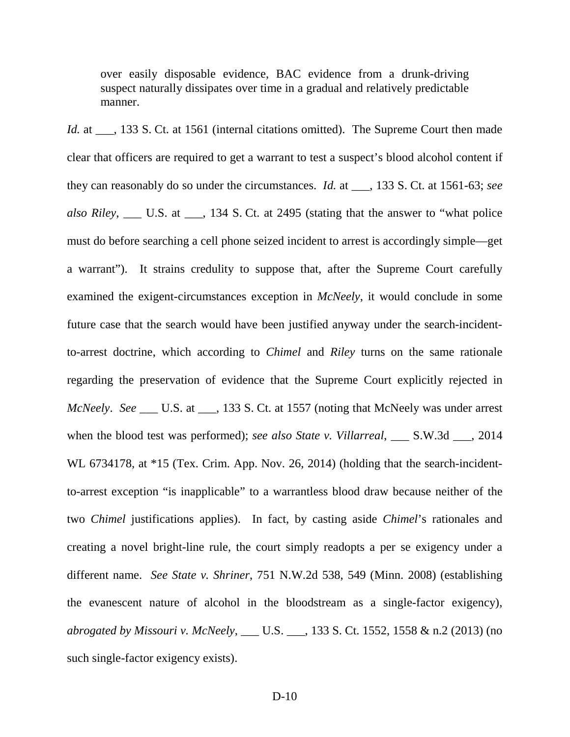over easily disposable evidence, BAC evidence from a drunk-driving suspect naturally dissipates over time in a gradual and relatively predictable manner.

*Id.* at \_\_\_, 133 S. Ct. at 1561 (internal citations omitted). The Supreme Court then made clear that officers are required to get a warrant to test a suspect's blood alcohol content if they can reasonably do so under the circumstances. *Id.* at \_\_\_, 133 S. Ct. at 1561-63; *see also Riley*, \_\_\_ U.S. at \_\_\_, 134 S. Ct. at 2495 (stating that the answer to "what police must do before searching a cell phone seized incident to arrest is accordingly simple—get a warrant"). It strains credulity to suppose that, after the Supreme Court carefully examined the exigent-circumstances exception in *McNeely*, it would conclude in some future case that the search would have been justified anyway under the search-incidentto-arrest doctrine, which according to *Chimel* and *Riley* turns on the same rationale regarding the preservation of evidence that the Supreme Court explicitly rejected in *McNeely*. *See* \_\_\_ U.S. at \_\_\_, 133 S. Ct. at 1557 (noting that McNeely was under arrest when the blood test was performed); *see also State v. Villarreal*, \_\_\_ S.W.3d \_\_\_, 2014 WL 6734178, at \*15 (Tex. Crim. App. Nov. 26, 2014) (holding that the search-incidentto-arrest exception "is inapplicable" to a warrantless blood draw because neither of the two *Chimel* justifications applies). In fact, by casting aside *Chimel*'s rationales and creating a novel bright-line rule, the court simply readopts a per se exigency under a different name. *See State v. Shriner*, 751 N.W.2d 538, 549 (Minn. 2008) (establishing the evanescent nature of alcohol in the bloodstream as a single-factor exigency), *abrogated by Missouri v. McNeely*, \_\_\_ U.S. \_\_\_, 133 S. Ct. 1552, 1558 & n.2 (2013) (no such single-factor exigency exists).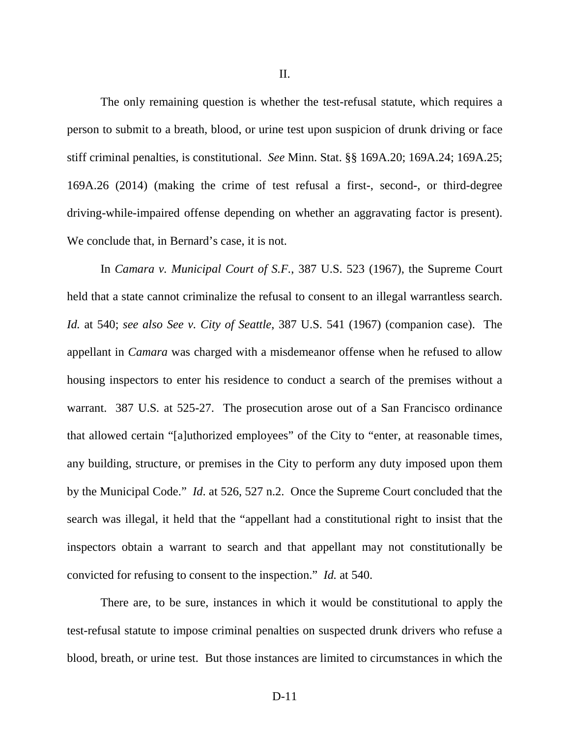II.

The only remaining question is whether the test-refusal statute, which requires a person to submit to a breath, blood, or urine test upon suspicion of drunk driving or face stiff criminal penalties, is constitutional. *See* Minn. Stat. §§ 169A.20; 169A.24; 169A.25; 169A.26 (2014) (making the crime of test refusal a first-, second-, or third-degree driving-while-impaired offense depending on whether an aggravating factor is present). We conclude that, in Bernard's case, it is not.

In *Camara v. Municipal Court of S.F.*, 387 U.S. 523 (1967), the Supreme Court held that a state cannot criminalize the refusal to consent to an illegal warrantless search. *Id.* at 540; *see also See v. City of Seattle*, 387 U.S. 541 (1967) (companion case). The appellant in *Camara* was charged with a misdemeanor offense when he refused to allow housing inspectors to enter his residence to conduct a search of the premises without a warrant. 387 U.S*.* at 525-27. The prosecution arose out of a San Francisco ordinance that allowed certain "[a]uthorized employees" of the City to "enter, at reasonable times, any building, structure, or premises in the City to perform any duty imposed upon them by the Municipal Code." *Id*. at 526, 527 n.2. Once the Supreme Court concluded that the search was illegal, it held that the "appellant had a constitutional right to insist that the inspectors obtain a warrant to search and that appellant may not constitutionally be convicted for refusing to consent to the inspection." *Id.* at 540.

There are, to be sure, instances in which it would be constitutional to apply the test-refusal statute to impose criminal penalties on suspected drunk drivers who refuse a blood, breath, or urine test. But those instances are limited to circumstances in which the